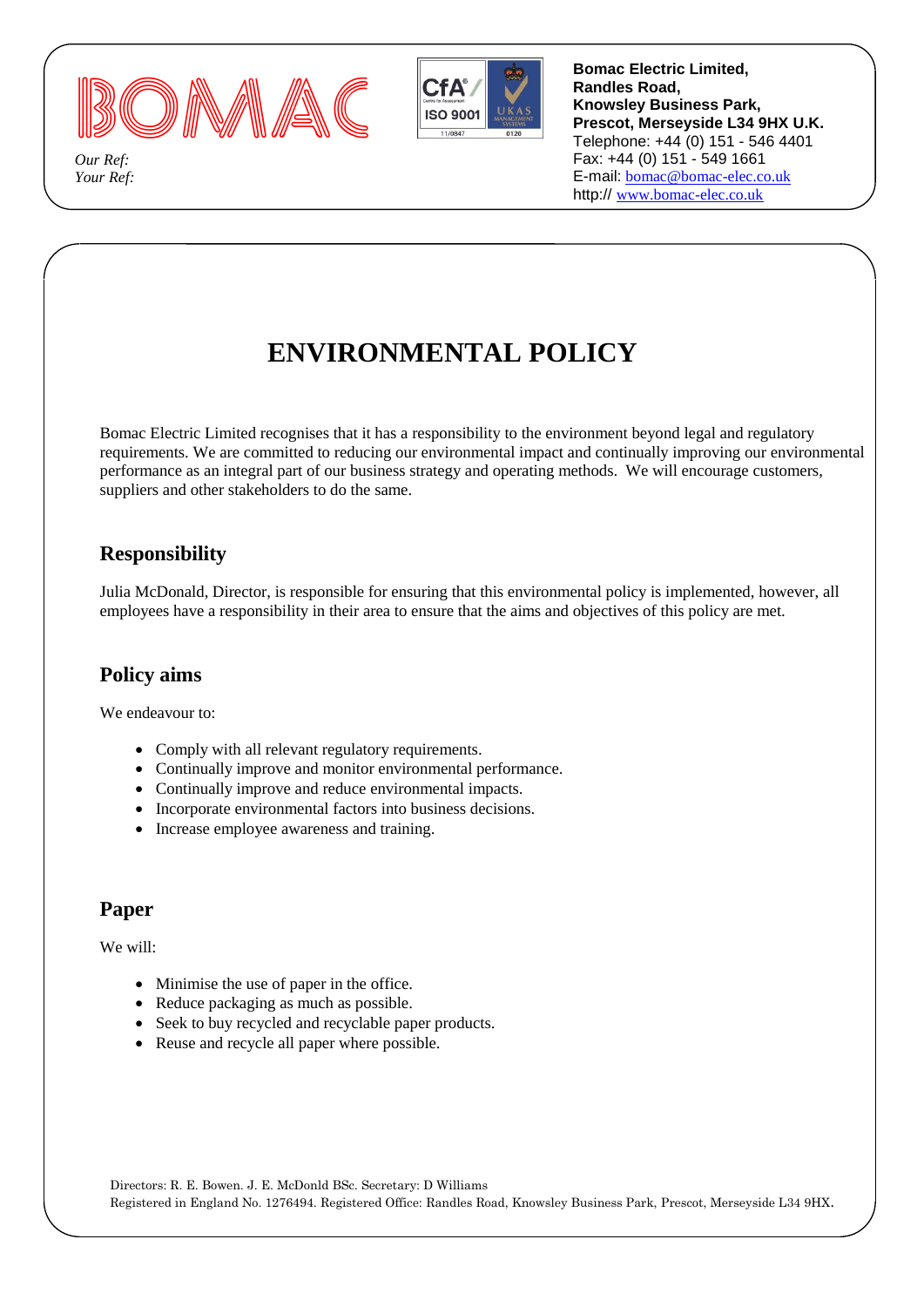

*Our Ref: Your Ref:*

 $\overline{\phantom{a}}$ 



**Bomac Electric Limited, Randles Road, Knowsley Business Park, Prescot, Merseyside L34 9HX U.K.** Telephone: +44 (0) 151 - 546 4401 Fax: +44 (0) 151 - 549 1661 E-mail: [bomac@bomac-elec.co.uk](mailto:bomac@boma-elec.co.uk) http:// [www.bomac-elec.co.uk](http://www.bomac-elec.co.uk/)

# **ENVIRONMENTAL POLICY**

Bomac Electric Limited recognises that it has a responsibility to the environment beyond legal and regulatory requirements. We are committed to reducing our environmental impact and continually improving our environmental performance as an integral part of our business strategy and operating methods. We will encourage customers, suppliers and other stakeholders to do the same.

# **Responsibility**

Julia McDonald, Director, is responsible for ensuring that this environmental policy is implemented, however, all employees have a responsibility in their area to ensure that the aims and objectives of this policy are met.

## **Policy aims**

We endeavour to:

- Comply with all relevant regulatory requirements.
- Continually improve and monitor environmental performance.
- Continually improve and reduce environmental impacts.
- Incorporate environmental factors into business decisions.
- Increase employee awareness and training.

## **Paper**

We will:

- Minimise the use of paper in the office.
- Reduce packaging as much as possible.
- Seek to buy recycled and recyclable paper products.
- Reuse and recycle all paper where possible.

Directors: R. E. Bowen. J. E. McDonld BSc. Secretary: D Williams Registered in England No. 1276494. Registered Office: Randles Road, Knowsley Business Park, Prescot, Merseyside L34 9HX.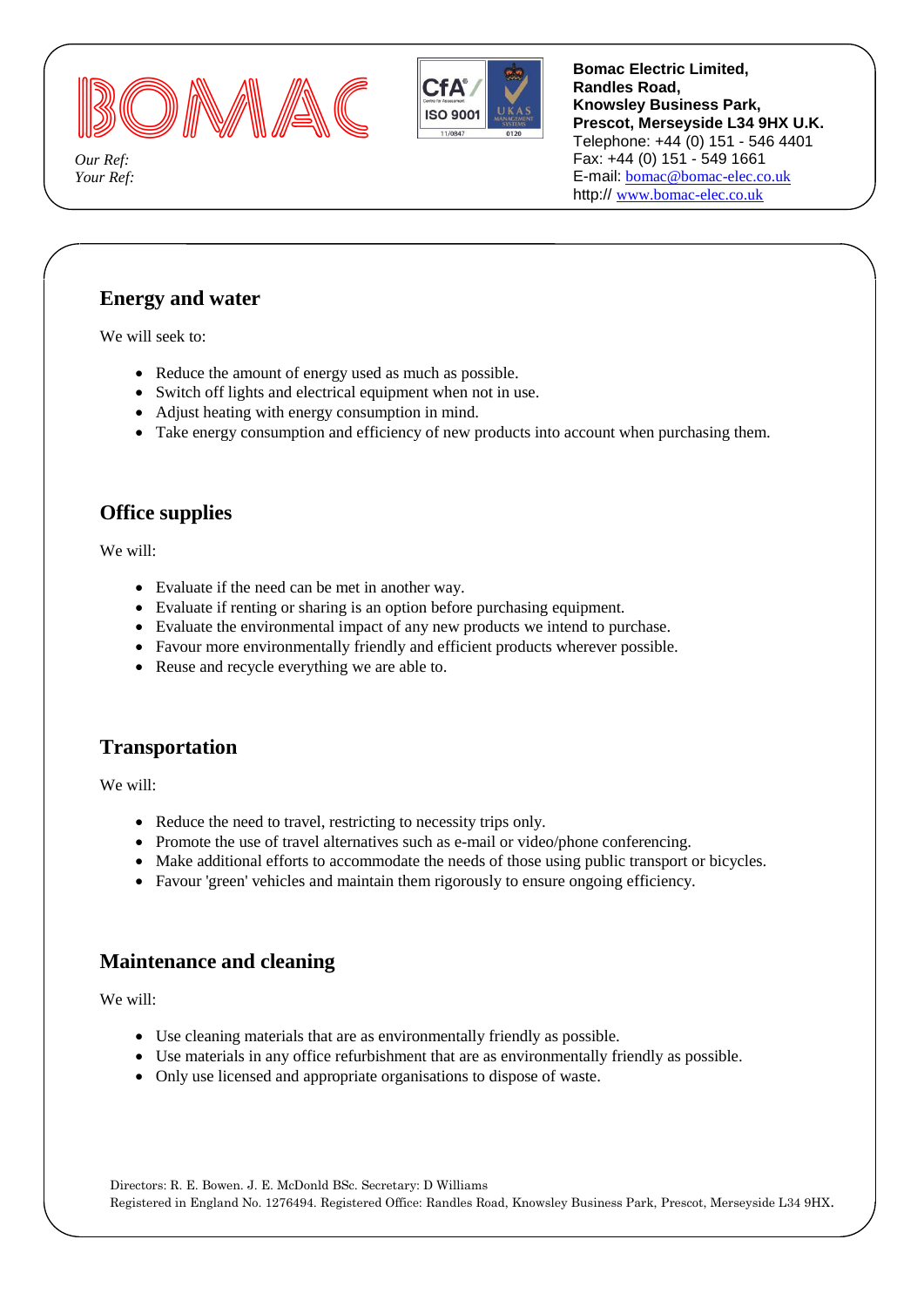



**Bomac Electric Limited, Randles Road, Knowsley Business Park, Prescot, Merseyside L34 9HX U.K.** Telephone: +44 (0) 151 - 546 4401 Fax: +44 (0) 151 - 549 1661 E-mail: [bomac@bomac-elec.co.uk](mailto:bomac@boma-elec.co.uk) http:// [www.bomac-elec.co.uk](http://www.bomac-elec.co.uk/)

*Our Ref: Your Ref:*

 $\overline{\phantom{a}}$ 

## **Energy and water**

We will seek to:

- Reduce the amount of energy used as much as possible.
- Switch off lights and electrical equipment when not in use.
- Adjust heating with energy consumption in mind.
- Take energy consumption and efficiency of new products into account when purchasing them.

### **Office supplies**

We will:

- Evaluate if the need can be met in another way.
- Evaluate if renting or sharing is an option before purchasing equipment.
- Evaluate the environmental impact of any new products we intend to purchase.
- Favour more environmentally friendly and efficient products wherever possible.
- Reuse and recycle everything we are able to.

#### **Transportation**

We will:

- Reduce the need to travel, restricting to necessity trips only.
- Promote the use of travel alternatives such as e-mail or video/phone conferencing.
- Make additional efforts to accommodate the needs of those using public transport or bicycles.
- Favour 'green' vehicles and maintain them rigorously to ensure ongoing efficiency.

#### **Maintenance and cleaning**

We will:

- Use cleaning materials that are as environmentally friendly as possible.
- Use materials in any office refurbishment that are as environmentally friendly as possible.
- Only use licensed and appropriate organisations to dispose of waste.

Directors: R. E. Bowen. J. E. McDonld BSc. Secretary: D Williams Registered in England No. 1276494. Registered Office: Randles Road, Knowsley Business Park, Prescot, Merseyside L34 9HX.